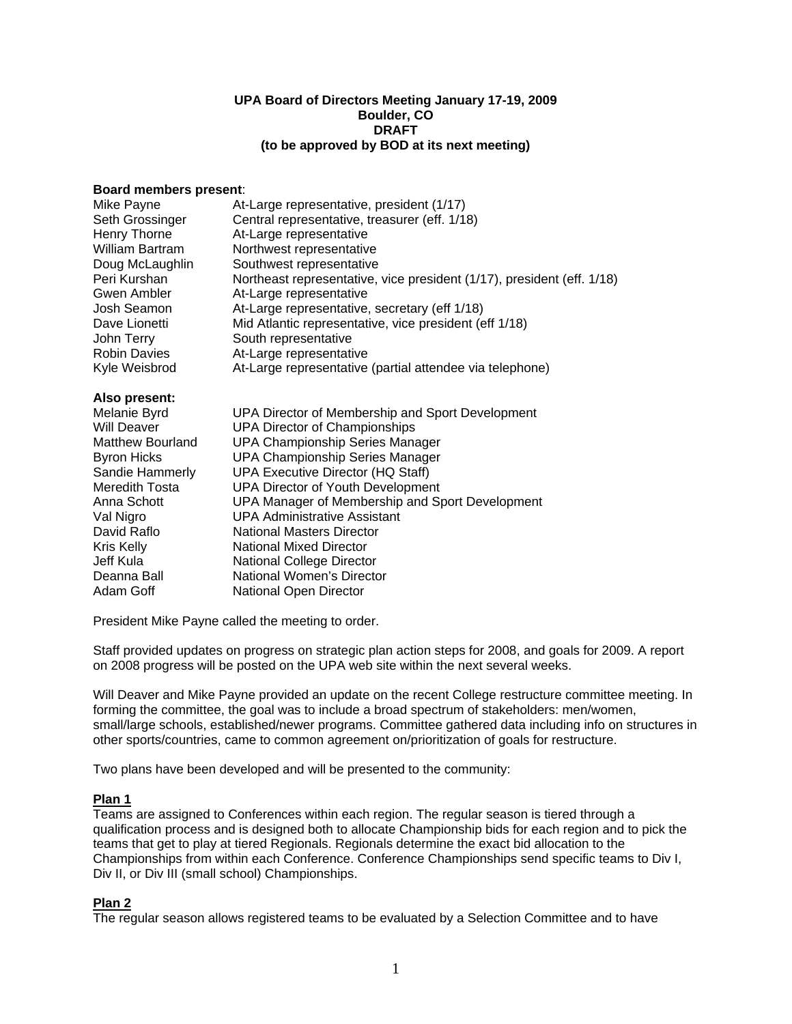#### **UPA Board of Directors Meeting January 17-19, 2009 Boulder, CO DRAFT (to be approved by BOD at its next meeting)**

#### **Board members present**:

| Mike Payne          | At-Large representative, president (1/17)                              |
|---------------------|------------------------------------------------------------------------|
| Seth Grossinger     | Central representative, treasurer (eff. 1/18)                          |
| Henry Thorne        | At-Large representative                                                |
| William Bartram     | Northwest representative                                               |
| Doug McLaughlin     | Southwest representative                                               |
| Peri Kurshan        | Northeast representative, vice president (1/17), president (eff. 1/18) |
| Gwen Ambler         | At-Large representative                                                |
| Josh Seamon         | At-Large representative, secretary (eff 1/18)                          |
| Dave Lionetti       | Mid Atlantic representative, vice president (eff 1/18)                 |
| John Terry          | South representative                                                   |
| <b>Robin Davies</b> | At-Large representative                                                |
| Kyle Weisbrod       | At-Large representative (partial attendee via telephone)               |

# **Also present:**

| Melanie Byrd            | UPA Director of Membership and Sport Development |
|-------------------------|--------------------------------------------------|
| Will Deaver             | <b>UPA Director of Championships</b>             |
| <b>Matthew Bourland</b> | <b>UPA Championship Series Manager</b>           |
| <b>Byron Hicks</b>      | <b>UPA Championship Series Manager</b>           |
| Sandie Hammerly         | <b>UPA Executive Director (HQ Staff)</b>         |
| Meredith Tosta          | <b>UPA Director of Youth Development</b>         |
| Anna Schott             | UPA Manager of Membership and Sport Development  |
| Val Nigro               | <b>UPA Administrative Assistant</b>              |
| David Raflo             | <b>National Masters Director</b>                 |
| Kris Kelly              | <b>National Mixed Director</b>                   |
| Jeff Kula               | <b>National College Director</b>                 |
| Deanna Ball             | National Women's Director                        |
| Adam Goff               | National Open Director                           |

President Mike Payne called the meeting to order.

Staff provided updates on progress on strategic plan action steps for 2008, and goals for 2009. A report on 2008 progress will be posted on the UPA web site within the next several weeks.

Will Deaver and Mike Payne provided an update on the recent College restructure committee meeting. In forming the committee, the goal was to include a broad spectrum of stakeholders: men/women, small/large schools, established/newer programs. Committee gathered data including info on structures in other sports/countries, came to common agreement on/prioritization of goals for restructure.

Two plans have been developed and will be presented to the community:

# **Plan 1**

Teams are assigned to Conferences within each region. The regular season is tiered through a qualification process and is designed both to allocate Championship bids for each region and to pick the teams that get to play at tiered Regionals. Regionals determine the exact bid allocation to the Championships from within each Conference. Conference Championships send specific teams to Div I, Div II, or Div III (small school) Championships.

### **Plan 2**

The regular season allows registered teams to be evaluated by a Selection Committee and to have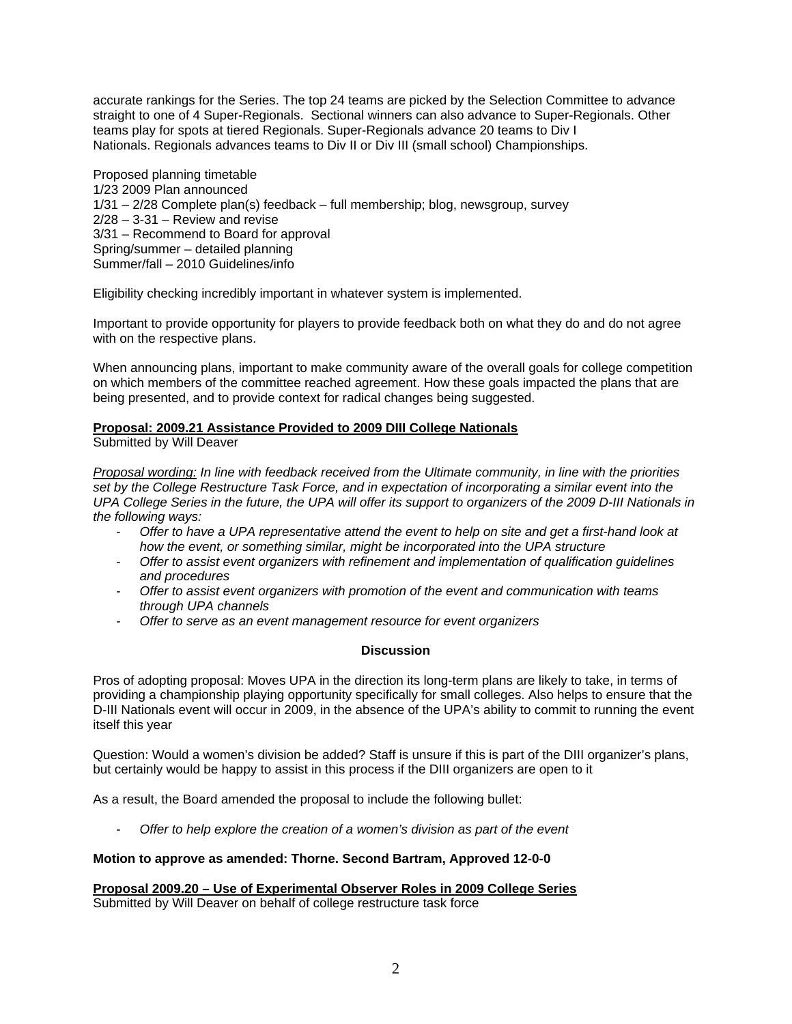accurate rankings for the Series. The top 24 teams are picked by the Selection Committee to advance straight to one of 4 Super-Regionals. Sectional winners can also advance to Super-Regionals. Other teams play for spots at tiered Regionals. Super-Regionals advance 20 teams to Div I Nationals. Regionals advances teams to Div II or Div III (small school) Championships.

Proposed planning timetable 1/23 2009 Plan announced 1/31 – 2/28 Complete plan(s) feedback – full membership; blog, newsgroup, survey  $2/28 - 3-31$  – Review and revise 3/31 – Recommend to Board for approval Spring/summer – detailed planning Summer/fall – 2010 Guidelines/info

Eligibility checking incredibly important in whatever system is implemented.

Important to provide opportunity for players to provide feedback both on what they do and do not agree with on the respective plans.

When announcing plans, important to make community aware of the overall goals for college competition on which members of the committee reached agreement. How these goals impacted the plans that are being presented, and to provide context for radical changes being suggested.

# **Proposal: 2009.21 Assistance Provided to 2009 DIII College Nationals**

Submitted by Will Deaver

*Proposal wording: In line with feedback received from the Ultimate community, in line with the priorities set by the College Restructure Task Force, and in expectation of incorporating a similar event into the UPA College Series in the future, the UPA will offer its support to organizers of the 2009 D-III Nationals in the following ways:* 

- *Offer to have a UPA representative attend the event to help on site and get a first-hand look at how the event, or something similar, might be incorporated into the UPA structure*
- *Offer to assist event organizers with refinement and implementation of qualification guidelines and procedures*
- *Offer to assist event organizers with promotion of the event and communication with teams through UPA channels*
- *Offer to serve as an event management resource for event organizers*

### **Discussion**

Pros of adopting proposal: Moves UPA in the direction its long-term plans are likely to take, in terms of providing a championship playing opportunity specifically for small colleges. Also helps to ensure that the D-III Nationals event will occur in 2009, in the absence of the UPA's ability to commit to running the event itself this year

Question: Would a women's division be added? Staff is unsure if this is part of the DIII organizer's plans, but certainly would be happy to assist in this process if the DIII organizers are open to it

As a result, the Board amended the proposal to include the following bullet:

- *Offer to help explore the creation of a women's division as part of the event* 

# **Motion to approve as amended: Thorne. Second Bartram, Approved 12-0-0**

# **Proposal 2009.20 – Use of Experimental Observer Roles in 2009 College Series**

Submitted by Will Deaver on behalf of college restructure task force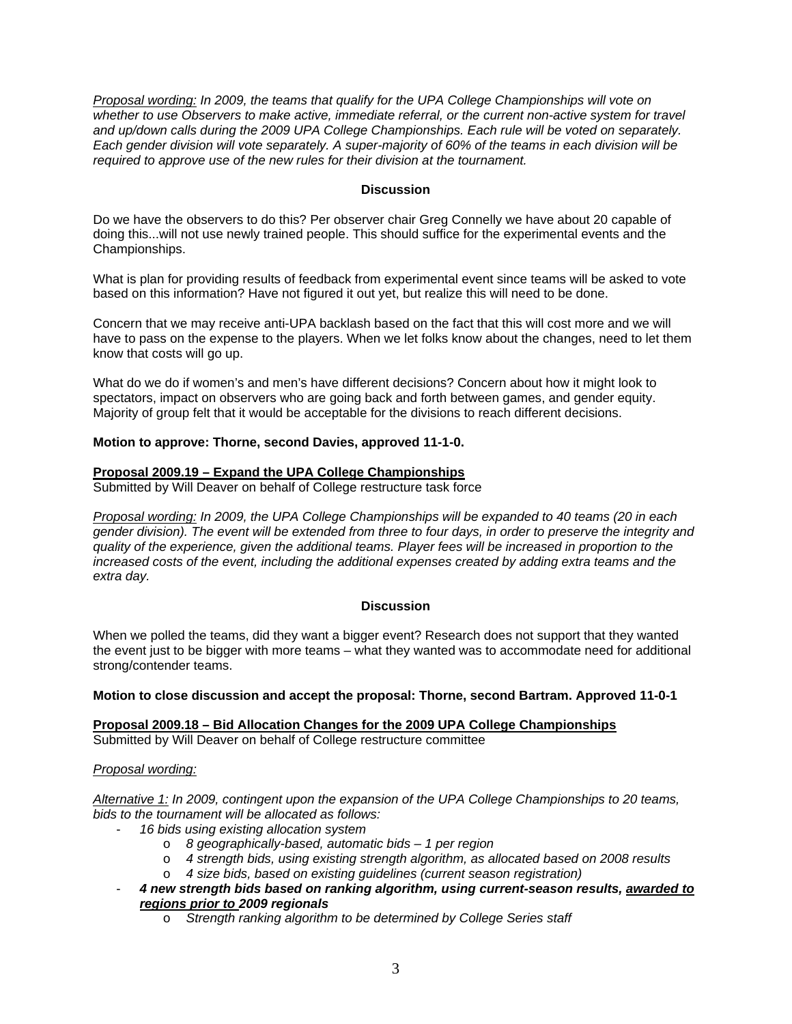*Proposal wording: In 2009, the teams that qualify for the UPA College Championships will vote on whether to use Observers to make active, immediate referral, or the current non-active system for travel and up/down calls during the 2009 UPA College Championships. Each rule will be voted on separately. Each gender division will vote separately. A super-majority of 60% of the teams in each division will be required to approve use of the new rules for their division at the tournament.* 

# **Discussion**

Do we have the observers to do this? Per observer chair Greg Connelly we have about 20 capable of doing this...will not use newly trained people. This should suffice for the experimental events and the Championships.

What is plan for providing results of feedback from experimental event since teams will be asked to vote based on this information? Have not figured it out yet, but realize this will need to be done.

Concern that we may receive anti-UPA backlash based on the fact that this will cost more and we will have to pass on the expense to the players. When we let folks know about the changes, need to let them know that costs will go up.

What do we do if women's and men's have different decisions? Concern about how it might look to spectators, impact on observers who are going back and forth between games, and gender equity. Majority of group felt that it would be acceptable for the divisions to reach different decisions.

# **Motion to approve: Thorne, second Davies, approved 11-1-0.**

# **Proposal 2009.19 – Expand the UPA College Championships**

Submitted by Will Deaver on behalf of College restructure task force

*Proposal wording: In 2009, the UPA College Championships will be expanded to 40 teams (20 in each gender division). The event will be extended from three to four days, in order to preserve the integrity and quality of the experience, given the additional teams. Player fees will be increased in proportion to the increased costs of the event, including the additional expenses created by adding extra teams and the extra day.* 

### **Discussion**

When we polled the teams, did they want a bigger event? Research does not support that they wanted the event just to be bigger with more teams – what they wanted was to accommodate need for additional strong/contender teams.

### **Motion to close discussion and accept the proposal: Thorne, second Bartram. Approved 11-0-1**

**Proposal 2009.18 – Bid Allocation Changes for the 2009 UPA College Championships**  Submitted by Will Deaver on behalf of College restructure committee

### *Proposal wording:*

*Alternative 1: In 2009, contingent upon the expansion of the UPA College Championships to 20 teams, bids to the tournament will be allocated as follows:* 

- *16 bids using existing allocation system* 
	- o *8 geographically-based, automatic bids 1 per region*
	- o *4 strength bids, using existing strength algorithm, as allocated based on 2008 results*
	- o *4 size bids, based on existing guidelines (current season registration)*
- *4 new strength bids based on ranking algorithm, using current-season results, awarded to regions prior to 2009 regionals* 
	- o *Strength ranking algorithm to be determined by College Series staff*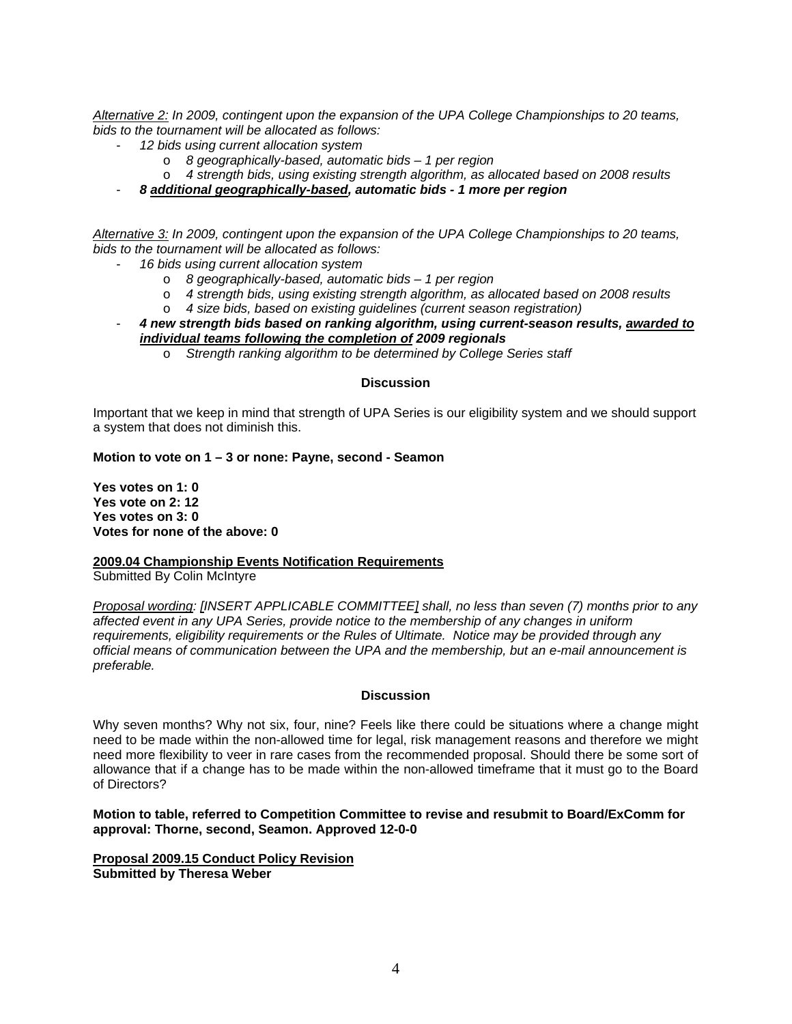*Alternative 2: In 2009, contingent upon the expansion of the UPA College Championships to 20 teams, bids to the tournament will be allocated as follows:* 

- *12 bids using current allocation system* 
	- o *8 geographically-based, automatic bids 1 per region*
	- o *4 strength bids, using existing strength algorithm, as allocated based on 2008 results*
- *8 additional geographically-based, automatic bids 1 more per region*

*Alternative 3: In 2009, contingent upon the expansion of the UPA College Championships to 20 teams, bids to the tournament will be allocated as follows:* 

- *16 bids using current allocation system* 
	- o *8 geographically-based, automatic bids 1 per region*
	- o *4 strength bids, using existing strength algorithm, as allocated based on 2008 results*
	- o *4 size bids, based on existing guidelines (current season registration)*
- *4 new strength bids based on ranking algorithm, using current-season results, awarded to individual teams following the completion of 2009 regionals* 
	- o *Strength ranking algorithm to be determined by College Series staff*

# **Discussion**

Important that we keep in mind that strength of UPA Series is our eligibility system and we should support a system that does not diminish this.

**Motion to vote on 1 – 3 or none: Payne, second - Seamon** 

**Yes votes on 1: 0 Yes vote on 2: 12 Yes votes on 3: 0 Votes for none of the above: 0** 

**2009.04 Championship Events Notification Requirements**  Submitted By Colin McIntyre

*Proposal wording: [INSERT APPLICABLE COMMITTEE] shall, no less than seven (7) months prior to any affected event in any UPA Series, provide notice to the membership of any changes in uniform requirements, eligibility requirements or the Rules of Ultimate. Notice may be provided through any official means of communication between the UPA and the membership, but an e-mail announcement is preferable.* 

### **Discussion**

Why seven months? Why not six, four, nine? Feels like there could be situations where a change might need to be made within the non-allowed time for legal, risk management reasons and therefore we might need more flexibility to veer in rare cases from the recommended proposal. Should there be some sort of allowance that if a change has to be made within the non-allowed timeframe that it must go to the Board of Directors?

### **Motion to table, referred to Competition Committee to revise and resubmit to Board/ExComm for approval: Thorne, second, Seamon. Approved 12-0-0**

**Proposal 2009.15 Conduct Policy Revision Submitted by Theresa Weber**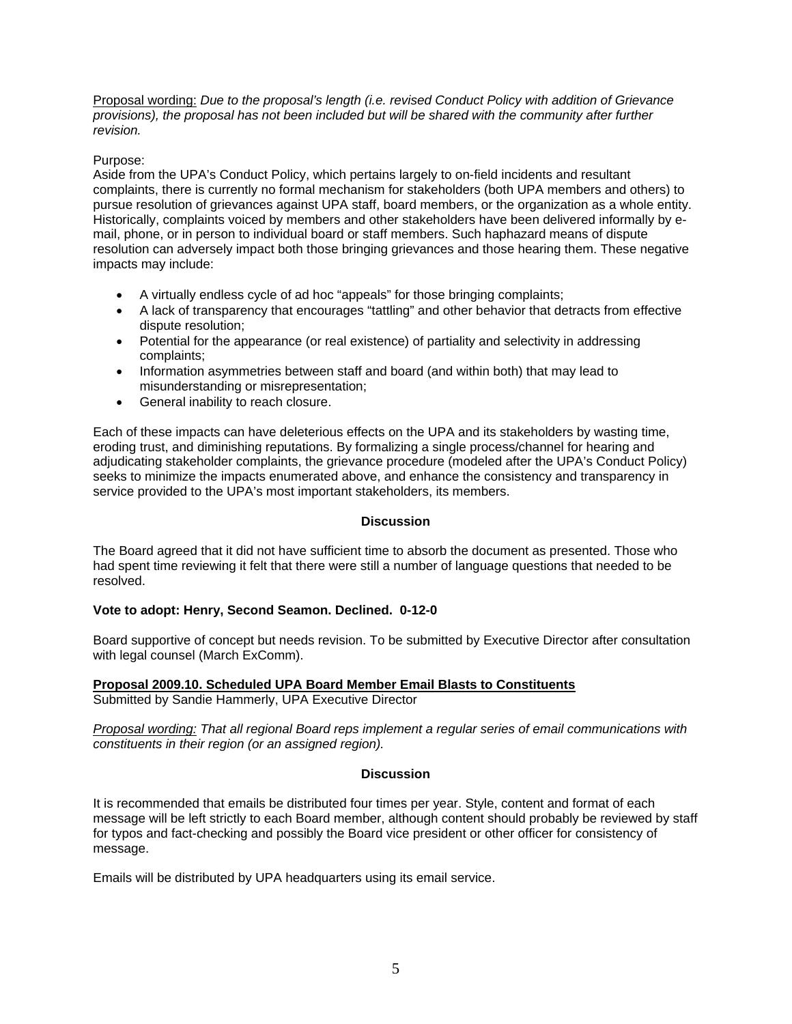Proposal wording: *Due to the proposal's length (i.e. revised Conduct Policy with addition of Grievance provisions), the proposal has not been included but will be shared with the community after further revision.* 

# Purpose:

Aside from the UPA's Conduct Policy, which pertains largely to on-field incidents and resultant complaints, there is currently no formal mechanism for stakeholders (both UPA members and others) to pursue resolution of grievances against UPA staff, board members, or the organization as a whole entity. Historically, complaints voiced by members and other stakeholders have been delivered informally by email, phone, or in person to individual board or staff members. Such haphazard means of dispute resolution can adversely impact both those bringing grievances and those hearing them. These negative impacts may include:

- A virtually endless cycle of ad hoc "appeals" for those bringing complaints;
- A lack of transparency that encourages "tattling" and other behavior that detracts from effective dispute resolution;
- Potential for the appearance (or real existence) of partiality and selectivity in addressing complaints;
- Information asymmetries between staff and board (and within both) that may lead to misunderstanding or misrepresentation;
- General inability to reach closure.

Each of these impacts can have deleterious effects on the UPA and its stakeholders by wasting time, eroding trust, and diminishing reputations. By formalizing a single process/channel for hearing and adjudicating stakeholder complaints, the grievance procedure (modeled after the UPA's Conduct Policy) seeks to minimize the impacts enumerated above, and enhance the consistency and transparency in service provided to the UPA's most important stakeholders, its members.

# **Discussion**

The Board agreed that it did not have sufficient time to absorb the document as presented. Those who had spent time reviewing it felt that there were still a number of language questions that needed to be resolved.

# **Vote to adopt: Henry, Second Seamon. Declined. 0-12-0**

Board supportive of concept but needs revision. To be submitted by Executive Director after consultation with legal counsel (March ExComm).

#### **Proposal 2009.10. Scheduled UPA Board Member Email Blasts to Constituents**  Submitted by Sandie Hammerly, UPA Executive Director

*Proposal wording: That all regional Board reps implement a regular series of email communications with constituents in their region (or an assigned region).* 

# **Discussion**

It is recommended that emails be distributed four times per year. Style, content and format of each message will be left strictly to each Board member, although content should probably be reviewed by staff for typos and fact-checking and possibly the Board vice president or other officer for consistency of message.

Emails will be distributed by UPA headquarters using its email service.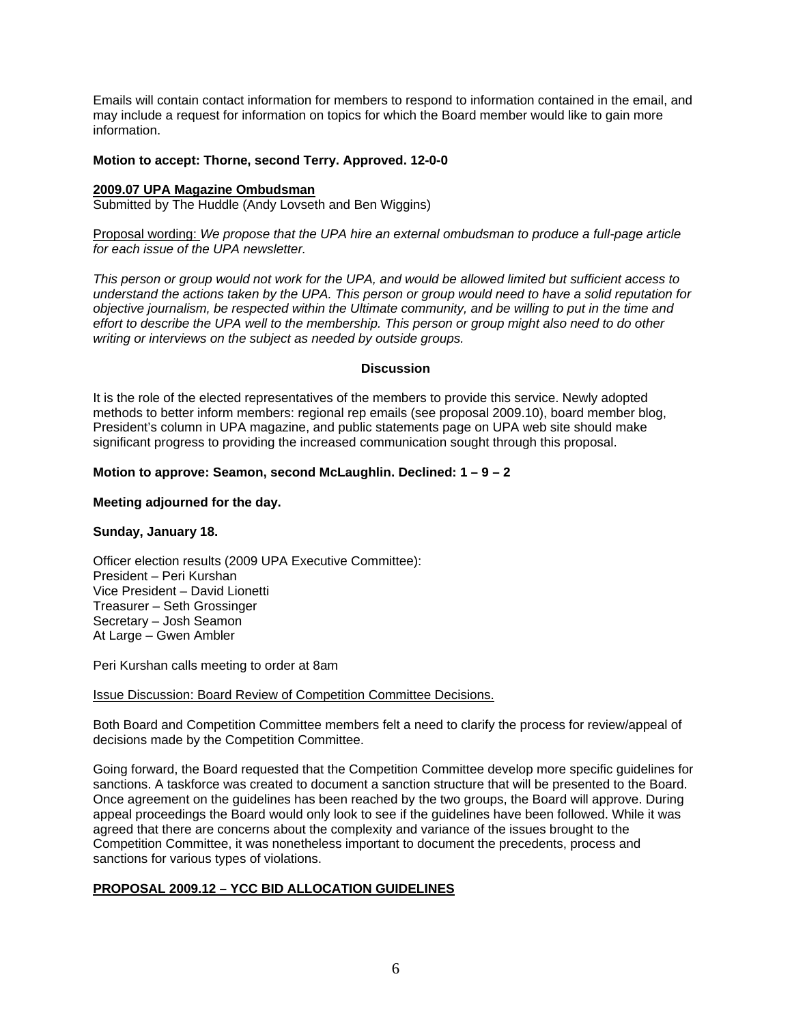Emails will contain contact information for members to respond to information contained in the email, and may include a request for information on topics for which the Board member would like to gain more information.

### **Motion to accept: Thorne, second Terry. Approved. 12-0-0**

### **2009.07 UPA Magazine Ombudsman**

Submitted by The Huddle (Andy Lovseth and Ben Wiggins)

Proposal wording: *We propose that the UPA hire an external ombudsman to produce a full-page article for each issue of the UPA newsletter.* 

*This person or group would not work for the UPA, and would be allowed limited but sufficient access to understand the actions taken by the UPA. This person or group would need to have a solid reputation for objective journalism, be respected within the Ultimate community, and be willing to put in the time and effort to describe the UPA well to the membership. This person or group might also need to do other writing or interviews on the subject as needed by outside groups.* 

# **Discussion**

It is the role of the elected representatives of the members to provide this service. Newly adopted methods to better inform members: regional rep emails (see proposal 2009.10), board member blog, President's column in UPA magazine, and public statements page on UPA web site should make significant progress to providing the increased communication sought through this proposal.

# **Motion to approve: Seamon, second McLaughlin. Declined: 1 – 9 – 2**

# **Meeting adjourned for the day.**

# **Sunday, January 18.**

Officer election results (2009 UPA Executive Committee): President – Peri Kurshan Vice President – David Lionetti Treasurer – Seth Grossinger Secretary – Josh Seamon At Large – Gwen Ambler

Peri Kurshan calls meeting to order at 8am

### Issue Discussion: Board Review of Competition Committee Decisions.

Both Board and Competition Committee members felt a need to clarify the process for review/appeal of decisions made by the Competition Committee.

Going forward, the Board requested that the Competition Committee develop more specific guidelines for sanctions. A taskforce was created to document a sanction structure that will be presented to the Board. Once agreement on the guidelines has been reached by the two groups, the Board will approve. During appeal proceedings the Board would only look to see if the guidelines have been followed. While it was agreed that there are concerns about the complexity and variance of the issues brought to the Competition Committee, it was nonetheless important to document the precedents, process and sanctions for various types of violations.

# **PROPOSAL 2009.12 – YCC BID ALLOCATION GUIDELINES**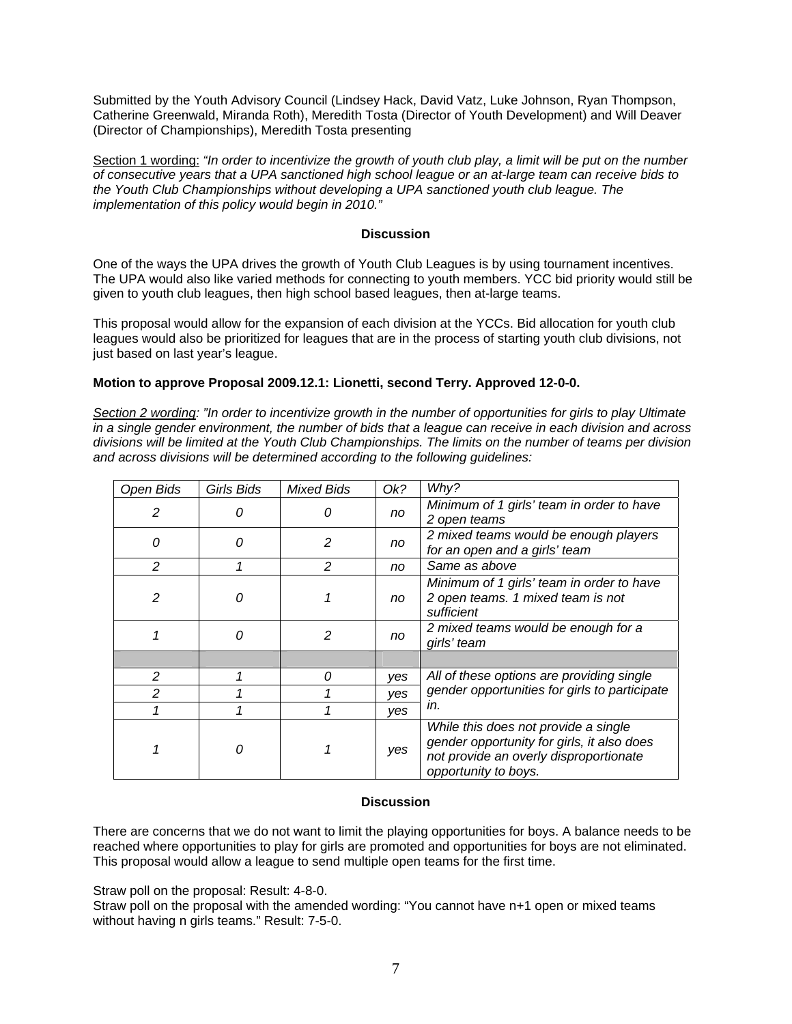Submitted by the Youth Advisory Council (Lindsey Hack, David Vatz, Luke Johnson, Ryan Thompson, Catherine Greenwald, Miranda Roth), Meredith Tosta (Director of Youth Development) and Will Deaver (Director of Championships), Meredith Tosta presenting

Section 1 wording: *"In order to incentivize the growth of youth club play, a limit will be put on the number of consecutive years that a UPA sanctioned high school league or an at-large team can receive bids to the Youth Club Championships without developing a UPA sanctioned youth club league. The implementation of this policy would begin in 2010."*

# **Discussion**

One of the ways the UPA drives the growth of Youth Club Leagues is by using tournament incentives. The UPA would also like varied methods for connecting to youth members. YCC bid priority would still be given to youth club leagues, then high school based leagues, then at-large teams.

This proposal would allow for the expansion of each division at the YCCs. Bid allocation for youth club leagues would also be prioritized for leagues that are in the process of starting youth club divisions, not just based on last year's league.

# **Motion to approve Proposal 2009.12.1: Lionetti, second Terry. Approved 12-0-0.**

*Section 2 wording: "In order to incentivize growth in the number of opportunities for girls to play Ultimate in a single gender environment, the number of bids that a league can receive in each division and across divisions will be limited at the Youth Club Championships. The limits on the number of teams per division and across divisions will be determined according to the following guidelines:* 

| Open Bids     | <b>Girls Bids</b> | <b>Mixed Bids</b> | Ok? | Why?                                                                                                                                                 |  |
|---------------|-------------------|-------------------|-----|------------------------------------------------------------------------------------------------------------------------------------------------------|--|
| 2             | O                 | 0                 | no  | Minimum of 1 girls' team in order to have<br>2 open teams                                                                                            |  |
| 0             | 0                 | 2                 | no  | 2 mixed teams would be enough players<br>for an open and a girls' team                                                                               |  |
| $\mathcal{P}$ |                   | 2                 | no  | Same as above                                                                                                                                        |  |
| 2             | Ω                 |                   | no  | Minimum of 1 girls' team in order to have<br>2 open teams. 1 mixed team is not<br>sufficient                                                         |  |
|               | 0                 | 2                 | no  | 2 mixed teams would be enough for a<br>girls' team                                                                                                   |  |
|               |                   |                   |     |                                                                                                                                                      |  |
| 2             |                   | 0                 | yes | All of these options are providing single<br>gender opportunities for girls to participate<br>in.                                                    |  |
| $\mathcal{P}$ |                   |                   | yes |                                                                                                                                                      |  |
|               |                   |                   | yes |                                                                                                                                                      |  |
|               | n                 |                   | yes | While this does not provide a single<br>gender opportunity for girls, it also does<br>not provide an overly disproportionate<br>opportunity to boys. |  |

### **Discussion**

There are concerns that we do not want to limit the playing opportunities for boys. A balance needs to be reached where opportunities to play for girls are promoted and opportunities for boys are not eliminated. This proposal would allow a league to send multiple open teams for the first time.

Straw poll on the proposal: Result: 4-8-0.

Straw poll on the proposal with the amended wording: "You cannot have n+1 open or mixed teams without having n girls teams." Result: 7-5-0.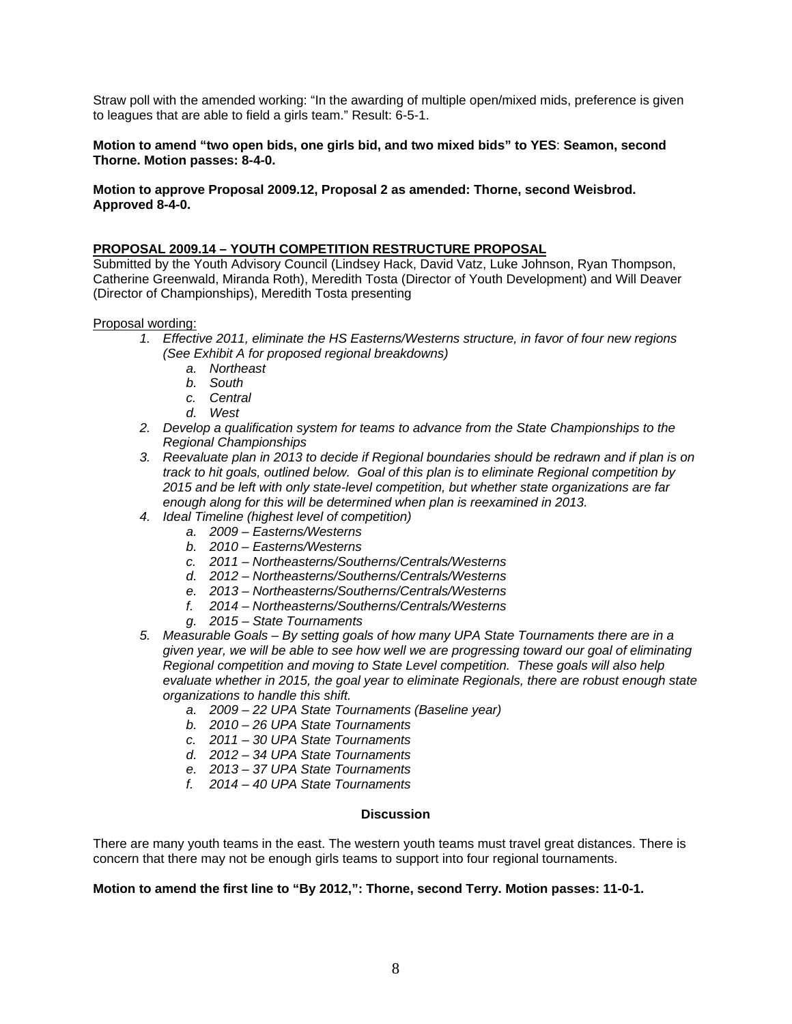Straw poll with the amended working: "In the awarding of multiple open/mixed mids, preference is given to leagues that are able to field a girls team." Result: 6-5-1.

# **Motion to amend "two open bids, one girls bid, and two mixed bids" to YES**: **Seamon, second Thorne. Motion passes: 8-4-0.**

# **Motion to approve Proposal 2009.12, Proposal 2 as amended: Thorne, second Weisbrod. Approved 8-4-0.**

# **PROPOSAL 2009.14 – YOUTH COMPETITION RESTRUCTURE PROPOSAL**

Submitted by the Youth Advisory Council (Lindsey Hack, David Vatz, Luke Johnson, Ryan Thompson, Catherine Greenwald, Miranda Roth), Meredith Tosta (Director of Youth Development) and Will Deaver (Director of Championships), Meredith Tosta presenting

#### Proposal wording:

- *1. Effective 2011, eliminate the HS Easterns/Westerns structure, in favor of four new regions (See Exhibit A for proposed regional breakdowns)* 
	- *a. Northeast*
	- *b. South*
	- *c. Central*
	- *d. West*
- *2. Develop a qualification system for teams to advance from the State Championships to the Regional Championships*
- *3. Reevaluate plan in 2013 to decide if Regional boundaries should be redrawn and if plan is on track to hit goals, outlined below. Goal of this plan is to eliminate Regional competition by 2015 and be left with only state-level competition, but whether state organizations are far enough along for this will be determined when plan is reexamined in 2013.*
- *4. Ideal Timeline (highest level of competition)* 
	- *a. 2009 Easterns/Westerns*
	- *b. 2010 Easterns/Westerns*
	- *c. 2011 Northeasterns/Southerns/Centrals/Westerns*
	- *d. 2012 Northeasterns/Southerns/Centrals/Westerns*
	- *e. 2013 Northeasterns/Southerns/Centrals/Westerns*
	- *f. 2014 Northeasterns/Southerns/Centrals/Westerns*
	- *g. 2015 State Tournaments*
- *5. Measurable Goals By setting goals of how many UPA State Tournaments there are in a given year, we will be able to see how well we are progressing toward our goal of eliminating Regional competition and moving to State Level competition. These goals will also help evaluate whether in 2015, the goal year to eliminate Regionals, there are robust enough state organizations to handle this shift.* 
	- *a. 2009 22 UPA State Tournaments (Baseline year)*
	- *b. 2010 26 UPA State Tournaments*
	- *c. 2011 30 UPA State Tournaments*
	- *d. 2012 34 UPA State Tournaments*
	- *e. 2013 37 UPA State Tournaments*
	- *f. 2014 40 UPA State Tournaments*

### **Discussion**

There are many youth teams in the east. The western youth teams must travel great distances. There is concern that there may not be enough girls teams to support into four regional tournaments.

# **Motion to amend the first line to "By 2012,": Thorne, second Terry. Motion passes: 11-0-1.**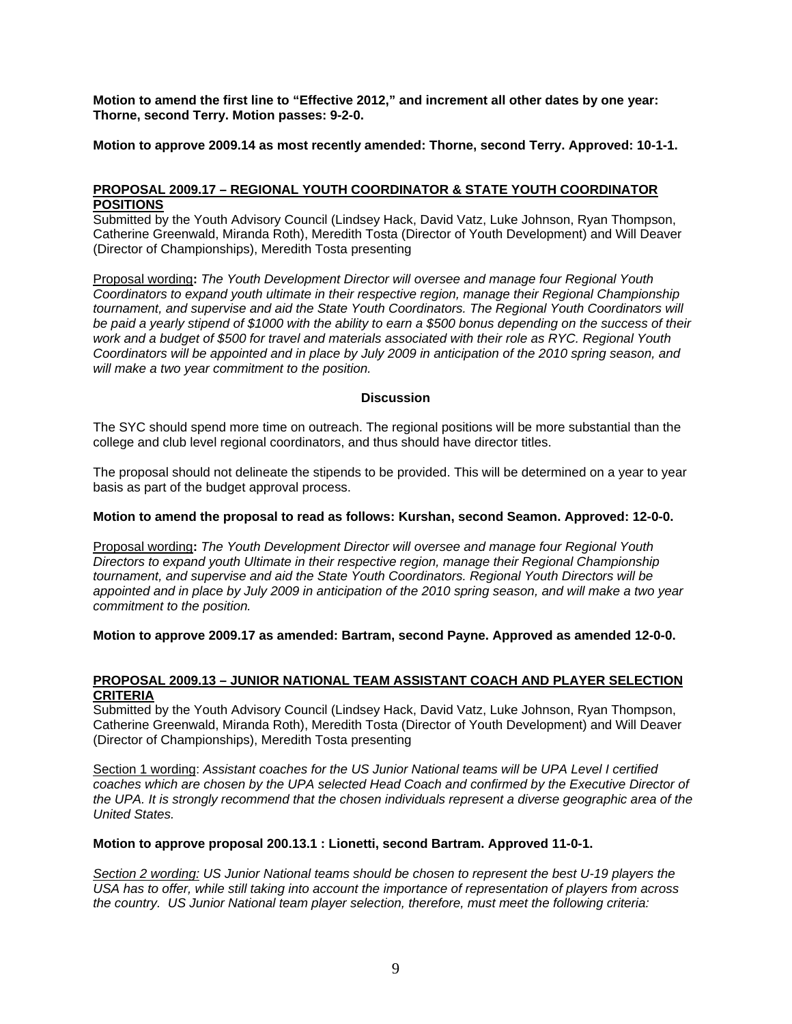**Motion to amend the first line to "Effective 2012," and increment all other dates by one year: Thorne, second Terry. Motion passes: 9-2-0.** 

**Motion to approve 2009.14 as most recently amended: Thorne, second Terry. Approved: 10-1-1.**

# **PROPOSAL 2009.17 – REGIONAL YOUTH COORDINATOR & STATE YOUTH COORDINATOR POSITIONS**

Submitted by the Youth Advisory Council (Lindsey Hack, David Vatz, Luke Johnson, Ryan Thompson, Catherine Greenwald, Miranda Roth), Meredith Tosta (Director of Youth Development) and Will Deaver (Director of Championships), Meredith Tosta presenting

Proposal wording**:** *The Youth Development Director will oversee and manage four Regional Youth Coordinators to expand youth ultimate in their respective region, manage their Regional Championship tournament, and supervise and aid the State Youth Coordinators. The Regional Youth Coordinators will be paid a yearly stipend of \$1000 with the ability to earn a \$500 bonus depending on the success of their work and a budget of \$500 for travel and materials associated with their role as RYC. Regional Youth Coordinators will be appointed and in place by July 2009 in anticipation of the 2010 spring season, and will make a two year commitment to the position.* 

# **Discussion**

The SYC should spend more time on outreach. The regional positions will be more substantial than the college and club level regional coordinators, and thus should have director titles.

The proposal should not delineate the stipends to be provided. This will be determined on a year to year basis as part of the budget approval process.

### **Motion to amend the proposal to read as follows: Kurshan, second Seamon. Approved: 12-0-0.**

Proposal wording**:** *The Youth Development Director will oversee and manage four Regional Youth Directors to expand youth Ultimate in their respective region, manage their Regional Championship tournament, and supervise and aid the State Youth Coordinators. Regional Youth Directors will be appointed and in place by July 2009 in anticipation of the 2010 spring season, and will make a two year commitment to the position.* 

### **Motion to approve 2009.17 as amended: Bartram, second Payne. Approved as amended 12-0-0.**

# **PROPOSAL 2009.13 – JUNIOR NATIONAL TEAM ASSISTANT COACH AND PLAYER SELECTION CRITERIA**

Submitted by the Youth Advisory Council (Lindsey Hack, David Vatz, Luke Johnson, Ryan Thompson, Catherine Greenwald, Miranda Roth), Meredith Tosta (Director of Youth Development) and Will Deaver (Director of Championships), Meredith Tosta presenting

Section 1 wording: *Assistant coaches for the US Junior National teams will be UPA Level I certified coaches which are chosen by the UPA selected Head Coach and confirmed by the Executive Director of the UPA. It is strongly recommend that the chosen individuals represent a diverse geographic area of the United States.* 

# **Motion to approve proposal 200.13.1 : Lionetti, second Bartram. Approved 11-0-1.**

*Section 2 wording: US Junior National teams should be chosen to represent the best U-19 players the USA has to offer, while still taking into account the importance of representation of players from across the country. US Junior National team player selection, therefore, must meet the following criteria:*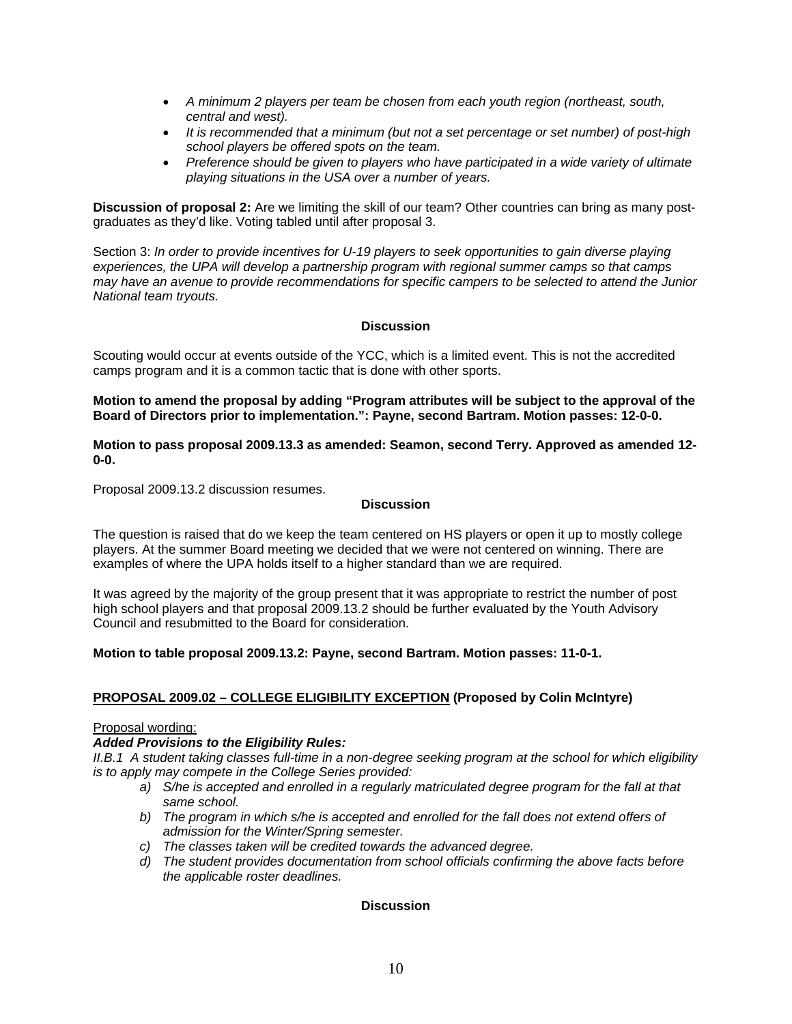- *A minimum 2 players per team be chosen from each youth region (northeast, south, central and west).*
- *It is recommended that a minimum (but not a set percentage or set number) of post-high school players be offered spots on the team.*
- *Preference should be given to players who have participated in a wide variety of ultimate playing situations in the USA over a number of years.*

**Discussion of proposal 2:** Are we limiting the skill of our team? Other countries can bring as many postgraduates as they'd like. Voting tabled until after proposal 3.

Section 3: *In order to provide incentives for U-19 players to seek opportunities to gain diverse playing experiences, the UPA will develop a partnership program with regional summer camps so that camps may have an avenue to provide recommendations for specific campers to be selected to attend the Junior National team tryouts.*

# **Discussion**

Scouting would occur at events outside of the YCC, which is a limited event. This is not the accredited camps program and it is a common tactic that is done with other sports.

**Motion to amend the proposal by adding "Program attributes will be subject to the approval of the Board of Directors prior to implementation.": Payne, second Bartram. Motion passes: 12-0-0.** 

**Motion to pass proposal 2009.13.3 as amended: Seamon, second Terry. Approved as amended 12- 0-0.** 

Proposal 2009.13.2 discussion resumes.

#### **Discussion**

The question is raised that do we keep the team centered on HS players or open it up to mostly college players. At the summer Board meeting we decided that we were not centered on winning. There are examples of where the UPA holds itself to a higher standard than we are required.

It was agreed by the majority of the group present that it was appropriate to restrict the number of post high school players and that proposal 2009.13.2 should be further evaluated by the Youth Advisory Council and resubmitted to the Board for consideration.

### **Motion to table proposal 2009.13.2: Payne, second Bartram. Motion passes: 11-0-1.**

### **PROPOSAL 2009.02 – COLLEGE ELIGIBILITY EXCEPTION (Proposed by Colin McIntyre)**

### Proposal wording:

### *Added Provisions to the Eligibility Rules:*

*II.B.1 A student taking classes full-time in a non-degree seeking program at the school for which eligibility is to apply may compete in the College Series provided:* 

- *a) S/he is accepted and enrolled in a regularly matriculated degree program for the fall at that same school.*
- b) The program in which s/he is accepted and enrolled for the fall does not extend offers of *admission for the Winter/Spring semester.*
- *c) The classes taken will be credited towards the advanced degree.*
- *d) The student provides documentation from school officials confirming the above facts before the applicable roster deadlines.*

### **Discussion**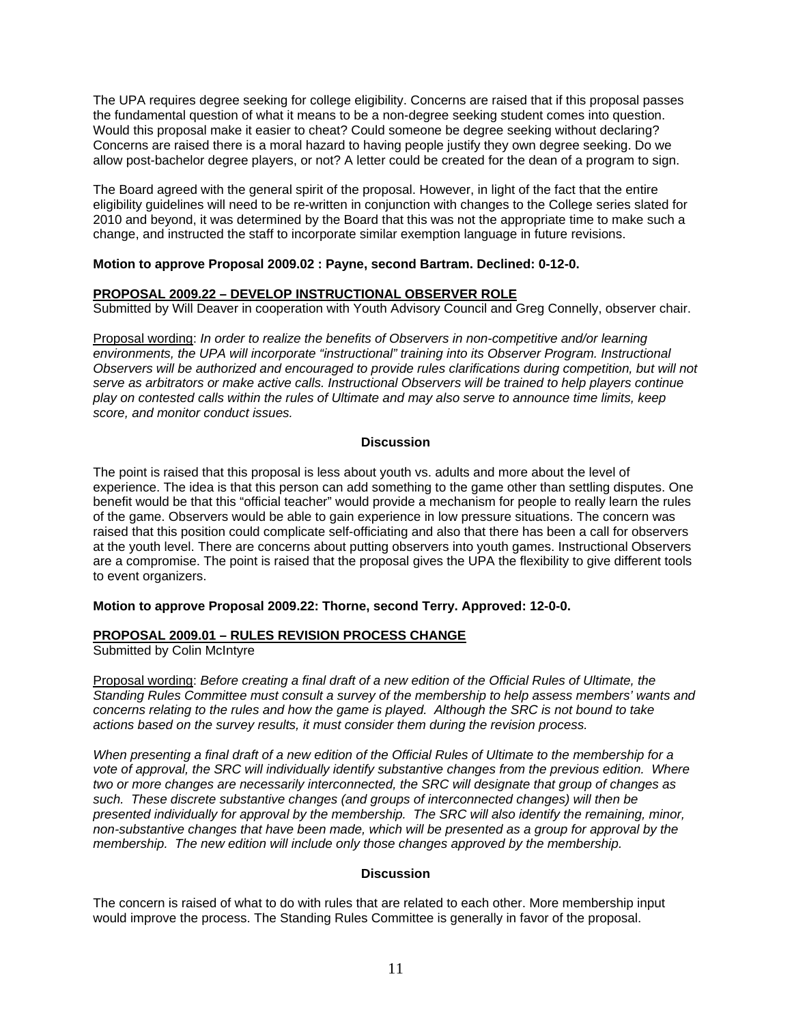The UPA requires degree seeking for college eligibility. Concerns are raised that if this proposal passes the fundamental question of what it means to be a non-degree seeking student comes into question. Would this proposal make it easier to cheat? Could someone be degree seeking without declaring? Concerns are raised there is a moral hazard to having people justify they own degree seeking. Do we allow post-bachelor degree players, or not? A letter could be created for the dean of a program to sign.

The Board agreed with the general spirit of the proposal. However, in light of the fact that the entire eligibility guidelines will need to be re-written in conjunction with changes to the College series slated for 2010 and beyond, it was determined by the Board that this was not the appropriate time to make such a change, and instructed the staff to incorporate similar exemption language in future revisions.

# **Motion to approve Proposal 2009.02 : Payne, second Bartram. Declined: 0-12-0.**

# **PROPOSAL 2009.22 – DEVELOP INSTRUCTIONAL OBSERVER ROLE**

Submitted by Will Deaver in cooperation with Youth Advisory Council and Greg Connelly, observer chair.

Proposal wording: *In order to realize the benefits of Observers in non-competitive and/or learning environments, the UPA will incorporate "instructional" training into its Observer Program. Instructional Observers will be authorized and encouraged to provide rules clarifications during competition, but will not serve as arbitrators or make active calls. Instructional Observers will be trained to help players continue play on contested calls within the rules of Ultimate and may also serve to announce time limits, keep score, and monitor conduct issues.* 

# **Discussion**

The point is raised that this proposal is less about youth vs. adults and more about the level of experience. The idea is that this person can add something to the game other than settling disputes. One benefit would be that this "official teacher" would provide a mechanism for people to really learn the rules of the game. Observers would be able to gain experience in low pressure situations. The concern was raised that this position could complicate self-officiating and also that there has been a call for observers at the youth level. There are concerns about putting observers into youth games. Instructional Observers are a compromise. The point is raised that the proposal gives the UPA the flexibility to give different tools to event organizers.

### **Motion to approve Proposal 2009.22: Thorne, second Terry. Approved: 12-0-0.**

# **PROPOSAL 2009.01 – RULES REVISION PROCESS CHANGE**

Submitted by Colin McIntyre

Proposal wording: *Before creating a final draft of a new edition of the Official Rules of Ultimate, the Standing Rules Committee must consult a survey of the membership to help assess members' wants and concerns relating to the rules and how the game is played. Although the SRC is not bound to take actions based on the survey results, it must consider them during the revision process.* 

*When presenting a final draft of a new edition of the Official Rules of Ultimate to the membership for a vote of approval, the SRC will individually identify substantive changes from the previous edition. Where two or more changes are necessarily interconnected, the SRC will designate that group of changes as such. These discrete substantive changes (and groups of interconnected changes) will then be presented individually for approval by the membership. The SRC will also identify the remaining, minor, non-substantive changes that have been made, which will be presented as a group for approval by the membership. The new edition will include only those changes approved by the membership.* 

### **Discussion**

The concern is raised of what to do with rules that are related to each other. More membership input would improve the process. The Standing Rules Committee is generally in favor of the proposal.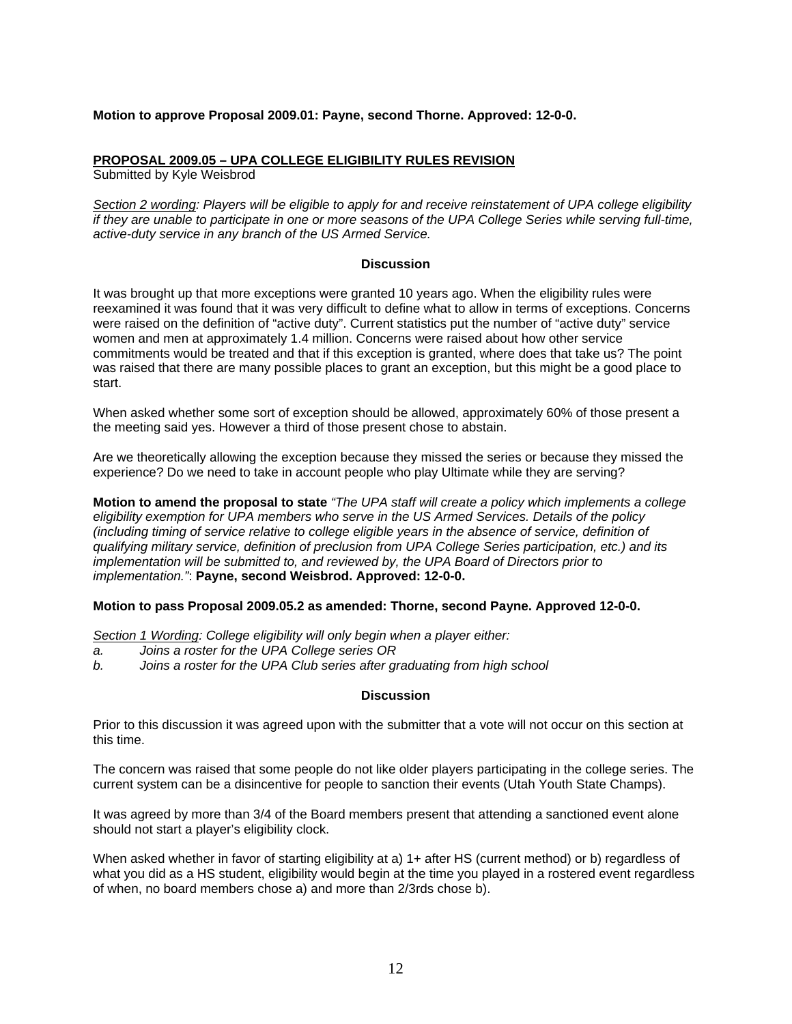### **Motion to approve Proposal 2009.01: Payne, second Thorne. Approved: 12-0-0.**

### **PROPOSAL 2009.05 – UPA COLLEGE ELIGIBILITY RULES REVISION**

Submitted by Kyle Weisbrod

*Section 2 wording: Players will be eligible to apply for and receive reinstatement of UPA college eligibility if they are unable to participate in one or more seasons of the UPA College Series while serving full-time, active-duty service in any branch of the US Armed Service.* 

#### **Discussion**

It was brought up that more exceptions were granted 10 years ago. When the eligibility rules were reexamined it was found that it was very difficult to define what to allow in terms of exceptions. Concerns were raised on the definition of "active duty". Current statistics put the number of "active duty" service women and men at approximately 1.4 million. Concerns were raised about how other service commitments would be treated and that if this exception is granted, where does that take us? The point was raised that there are many possible places to grant an exception, but this might be a good place to start.

When asked whether some sort of exception should be allowed, approximately 60% of those present a the meeting said yes. However a third of those present chose to abstain.

Are we theoretically allowing the exception because they missed the series or because they missed the experience? Do we need to take in account people who play Ultimate while they are serving?

**Motion to amend the proposal to state** *"The UPA staff will create a policy which implements a college eligibility exemption for UPA members who serve in the US Armed Services. Details of the policy (including timing of service relative to college eligible years in the absence of service, definition of qualifying military service, definition of preclusion from UPA College Series participation, etc.) and its implementation will be submitted to, and reviewed by, the UPA Board of Directors prior to implementation."*: **Payne, second Weisbrod. Approved: 12-0-0.**

### **Motion to pass Proposal 2009.05.2 as amended: Thorne, second Payne. Approved 12-0-0.**

*Section 1 Wording: College eligibility will only begin when a player either:* 

- *a. Joins a roster for the UPA College series OR*
- *b. Joins a roster for the UPA Club series after graduating from high school*

#### **Discussion**

Prior to this discussion it was agreed upon with the submitter that a vote will not occur on this section at this time.

The concern was raised that some people do not like older players participating in the college series. The current system can be a disincentive for people to sanction their events (Utah Youth State Champs).

It was agreed by more than 3/4 of the Board members present that attending a sanctioned event alone should not start a player's eligibility clock.

When asked whether in favor of starting eligibility at a) 1+ after HS (current method) or b) regardless of what you did as a HS student, eligibility would begin at the time you played in a rostered event regardless of when, no board members chose a) and more than 2/3rds chose b).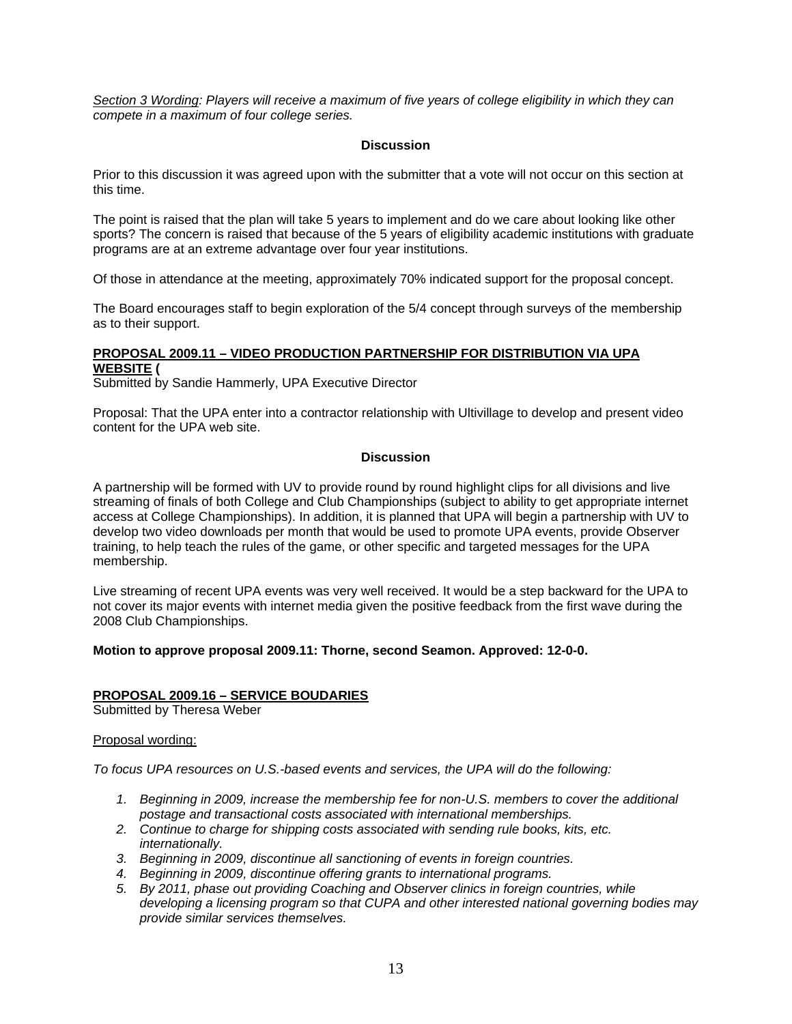*Section 3 Wording: Players will receive a maximum of five years of college eligibility in which they can compete in a maximum of four college series.* 

### **Discussion**

Prior to this discussion it was agreed upon with the submitter that a vote will not occur on this section at this time.

The point is raised that the plan will take 5 years to implement and do we care about looking like other sports? The concern is raised that because of the 5 years of eligibility academic institutions with graduate programs are at an extreme advantage over four year institutions.

Of those in attendance at the meeting, approximately 70% indicated support for the proposal concept.

The Board encourages staff to begin exploration of the 5/4 concept through surveys of the membership as to their support.

# **PROPOSAL 2009.11 – VIDEO PRODUCTION PARTNERSHIP FOR DISTRIBUTION VIA UPA WEBSITE (**

Submitted by Sandie Hammerly, UPA Executive Director

Proposal: That the UPA enter into a contractor relationship with Ultivillage to develop and present video content for the UPA web site.

# **Discussion**

A partnership will be formed with UV to provide round by round highlight clips for all divisions and live streaming of finals of both College and Club Championships (subject to ability to get appropriate internet access at College Championships). In addition, it is planned that UPA will begin a partnership with UV to develop two video downloads per month that would be used to promote UPA events, provide Observer training, to help teach the rules of the game, or other specific and targeted messages for the UPA membership.

Live streaming of recent UPA events was very well received. It would be a step backward for the UPA to not cover its major events with internet media given the positive feedback from the first wave during the 2008 Club Championships.

### **Motion to approve proposal 2009.11: Thorne, second Seamon. Approved: 12-0-0.**

### **PROPOSAL 2009.16 – SERVICE BOUDARIES**

Submitted by Theresa Weber

### Proposal wording:

*To focus UPA resources on U.S.-based events and services, the UPA will do the following:* 

- *1. Beginning in 2009, increase the membership fee for non-U.S. members to cover the additional postage and transactional costs associated with international memberships.*
- *2. Continue to charge for shipping costs associated with sending rule books, kits, etc. internationally.*
- *3. Beginning in 2009, discontinue all sanctioning of events in foreign countries.*
- *4. Beginning in 2009, discontinue offering grants to international programs.*
- *5. By 2011, phase out providing Coaching and Observer clinics in foreign countries, while developing a licensing program so that CUPA and other interested national governing bodies may provide similar services themselves.*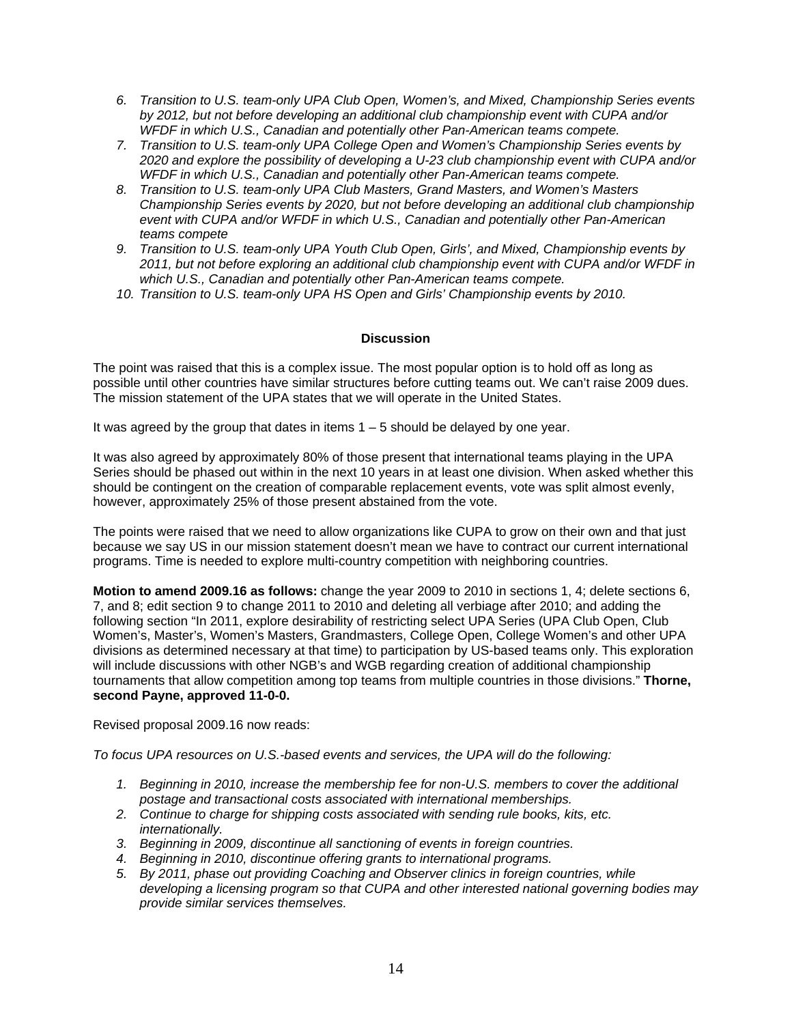- *6. Transition to U.S. team-only UPA Club Open, Women's, and Mixed, Championship Series events by 2012, but not before developing an additional club championship event with CUPA and/or WFDF in which U.S., Canadian and potentially other Pan-American teams compete.*
- *7. Transition to U.S. team-only UPA College Open and Women's Championship Series events by 2020 and explore the possibility of developing a U-23 club championship event with CUPA and/or WFDF in which U.S., Canadian and potentially other Pan-American teams compete.*
- *8. Transition to U.S. team-only UPA Club Masters, Grand Masters, and Women's Masters Championship Series events by 2020, but not before developing an additional club championship event with CUPA and/or WFDF in which U.S., Canadian and potentially other Pan-American teams compete*
- *9. Transition to U.S. team-only UPA Youth Club Open, Girls', and Mixed, Championship events by 2011, but not before exploring an additional club championship event with CUPA and/or WFDF in which U.S., Canadian and potentially other Pan-American teams compete.*
- 10. Transition to U.S. team-only UPA HS Open and Girls' Championship events by 2010.

# **Discussion**

The point was raised that this is a complex issue. The most popular option is to hold off as long as possible until other countries have similar structures before cutting teams out. We can't raise 2009 dues. The mission statement of the UPA states that we will operate in the United States.

It was agreed by the group that dates in items  $1 - 5$  should be delayed by one year.

It was also agreed by approximately 80% of those present that international teams playing in the UPA Series should be phased out within in the next 10 years in at least one division. When asked whether this should be contingent on the creation of comparable replacement events, vote was split almost evenly, however, approximately 25% of those present abstained from the vote.

The points were raised that we need to allow organizations like CUPA to grow on their own and that just because we say US in our mission statement doesn't mean we have to contract our current international programs. Time is needed to explore multi-country competition with neighboring countries.

**Motion to amend 2009.16 as follows:** change the year 2009 to 2010 in sections 1, 4; delete sections 6, 7, and 8; edit section 9 to change 2011 to 2010 and deleting all verbiage after 2010; and adding the following section "In 2011, explore desirability of restricting select UPA Series (UPA Club Open, Club Women's, Master's, Women's Masters, Grandmasters, College Open, College Women's and other UPA divisions as determined necessary at that time) to participation by US-based teams only. This exploration will include discussions with other NGB's and WGB regarding creation of additional championship tournaments that allow competition among top teams from multiple countries in those divisions." **Thorne, second Payne, approved 11-0-0.** 

Revised proposal 2009.16 now reads:

*To focus UPA resources on U.S.-based events and services, the UPA will do the following:* 

- *1. Beginning in 2010, increase the membership fee for non-U.S. members to cover the additional postage and transactional costs associated with international memberships.*
- *2. Continue to charge for shipping costs associated with sending rule books, kits, etc. internationally.*
- *3. Beginning in 2009, discontinue all sanctioning of events in foreign countries.*
- *4. Beginning in 2010, discontinue offering grants to international programs.*
- *5. By 2011, phase out providing Coaching and Observer clinics in foreign countries, while developing a licensing program so that CUPA and other interested national governing bodies may provide similar services themselves.*